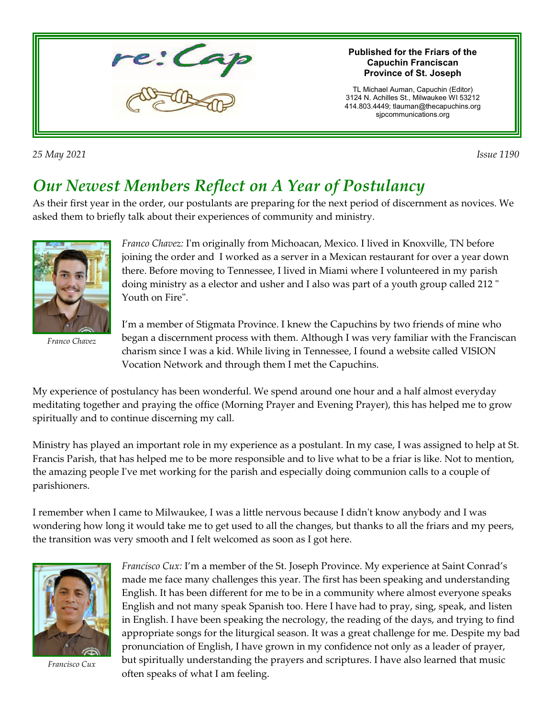

*25 May 2021 Issue 1190* 

## *Our Newest Members Reflect on A Year of Postulancy*

As their first year in the order, our postulants are preparing for the next period of discernment as novices. We asked them to briefly talk about their experiences of community and ministry.



*Franco Chavez*

*Franco Chavez:* I'm originally from Michoacan, Mexico. I lived in Knoxville, TN before joining the order and I worked as a server in a Mexican restaurant for over a year down there. Before moving to Tennessee, I lived in Miami where I volunteered in my parish doing ministry as a elector and usher and I also was part of a youth group called 212 " Youth on Fire".

I'm a member of Stigmata Province. I knew the Capuchins by two friends of mine who began a discernment process with them. Although I was very familiar with the Franciscan charism since I was a kid. While living in Tennessee, I found a website called VISION Vocation Network and through them I met the Capuchins.

My experience of postulancy has been wonderful. We spend around one hour and a half almost everyday meditating together and praying the office (Morning Prayer and Evening Prayer), this has helped me to grow spiritually and to continue discerning my call.

Ministry has played an important role in my experience as a postulant. In my case, I was assigned to help at St. Francis Parish, that has helped me to be more responsible and to live what to be a friar is like. Not to mention, the amazing people I've met working for the parish and especially doing communion calls to a couple of parishioners.

I remember when I came to Milwaukee, I was a little nervous because I didn't know anybody and I was wondering how long it would take me to get used to all the changes, but thanks to all the friars and my peers, the transition was very smooth and I felt welcomed as soon as I got here.



*Francisco Cux*

*Francisco Cux:* I'm a member of the St. Joseph Province. My experience at Saint Conrad's made me face many challenges this year. The first has been speaking and understanding English. It has been different for me to be in a community where almost everyone speaks English and not many speak Spanish too. Here I have had to pray, sing, speak, and listen in English. I have been speaking the necrology, the reading of the days, and trying to find appropriate songs for the liturgical season. It was a great challenge for me. Despite my bad pronunciation of English, I have grown in my confidence not only as a leader of prayer, but spiritually understanding the prayers and scriptures. I have also learned that music often speaks of what I am feeling.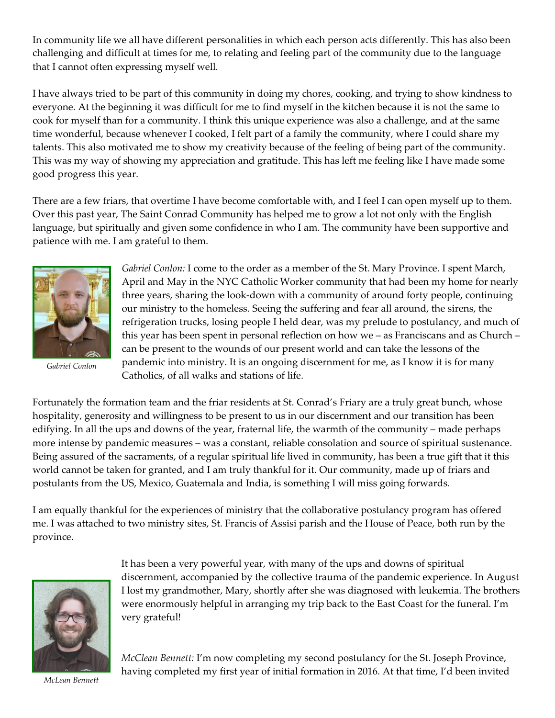In community life we all have different personalities in which each person acts differently. This has also been challenging and difficult at times for me, to relating and feeling part of the community due to the language that I cannot often expressing myself well.

I have always tried to be part of this community in doing my chores, cooking, and trying to show kindness to everyone. At the beginning it was difficult for me to find myself in the kitchen because it is not the same to cook for myself than for a community. I think this unique experience was also a challenge, and at the same time wonderful, because whenever I cooked, I felt part of a family the community, where I could share my talents. This also motivated me to show my creativity because of the feeling of being part of the community. This was my way of showing my appreciation and gratitude. This has left me feeling like I have made some good progress this year.

There are a few friars, that overtime I have become comfortable with, and I feel I can open myself up to them. Over this past year, The Saint Conrad Community has helped me to grow a lot not only with the English language, but spiritually and given some confidence in who I am. The community have been supportive and patience with me. I am grateful to them.



*Gabriel Conlon*

*Gabriel Conlon:* I come to the order as a member of the St. Mary Province. I spent March, April and May in the NYC Catholic Worker community that had been my home for nearly three years, sharing the look-down with a community of around forty people, continuing our ministry to the homeless. Seeing the suffering and fear all around, the sirens, the refrigeration trucks, losing people I held dear, was my prelude to postulancy, and much of this year has been spent in personal reflection on how we – as Franciscans and as Church – can be present to the wounds of our present world and can take the lessons of the pandemic into ministry. It is an ongoing discernment for me, as I know it is for many Catholics, of all walks and stations of life.

Fortunately the formation team and the friar residents at St. Conrad's Friary are a truly great bunch, whose hospitality, generosity and willingness to be present to us in our discernment and our transition has been edifying. In all the ups and downs of the year, fraternal life, the warmth of the community – made perhaps more intense by pandemic measures – was a constant, reliable consolation and source of spiritual sustenance. Being assured of the sacraments, of a regular spiritual life lived in community, has been a true gift that it this world cannot be taken for granted, and I am truly thankful for it. Our community, made up of friars and postulants from the US, Mexico, Guatemala and India, is something I will miss going forwards.

I am equally thankful for the experiences of ministry that the collaborative postulancy program has offered me. I was attached to two ministry sites, St. Francis of Assisi parish and the House of Peace, both run by the province.



It has been a very powerful year, with many of the ups and downs of spiritual discernment, accompanied by the collective trauma of the pandemic experience. In August I lost my grandmother, Mary, shortly after she was diagnosed with leukemia. The brothers were enormously helpful in arranging my trip back to the East Coast for the funeral. I'm very grateful!

*McClean Bennett:* I'm now completing my second postulancy for the St. Joseph Province, having completed my first year of initial formation in 2016. At that time, I'd been invited

*McLean Bennett*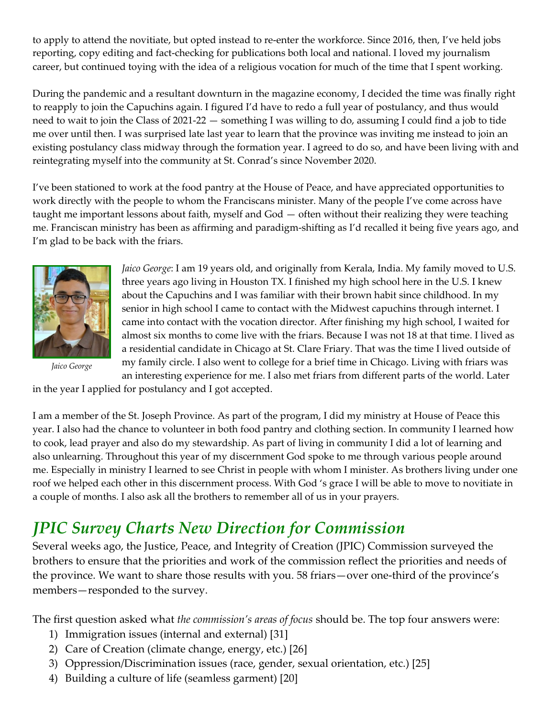to apply to attend the novitiate, but opted instead to re-enter the workforce. Since 2016, then, I've held jobs reporting, copy editing and fact-checking for publications both local and national. I loved my journalism career, but continued toying with the idea of a religious vocation for much of the time that I spent working.

During the pandemic and a resultant downturn in the magazine economy, I decided the time was finally right to reapply to join the Capuchins again. I figured I'd have to redo a full year of postulancy, and thus would need to wait to join the Class of 2021-22 — something I was willing to do, assuming I could find a job to tide me over until then. I was surprised late last year to learn that the province was inviting me instead to join an existing postulancy class midway through the formation year. I agreed to do so, and have been living with and reintegrating myself into the community at St. Conrad's since November 2020.

I've been stationed to work at the food pantry at the House of Peace, and have appreciated opportunities to work directly with the people to whom the Franciscans minister. Many of the people I've come across have taught me important lessons about faith, myself and God — often without their realizing they were teaching me. Franciscan ministry has been as affirming and paradigm-shifting as I'd recalled it being five years ago, and I'm glad to be back with the friars.



*Jaico George*

*Jaico George*: I am 19 years old, and originally from Kerala, India. My family moved to U.S. three years ago living in Houston TX. I finished my high school here in the U.S. I knew about the Capuchins and I was familiar with their brown habit since childhood. In my senior in high school I came to contact with the Midwest capuchins through internet. I came into contact with the vocation director. After finishing my high school, I waited for almost six months to come live with the friars. Because I was not 18 at that time. I lived as a residential candidate in Chicago at St. Clare Friary. That was the time I lived outside of my family circle. I also went to college for a brief time in Chicago. Living with friars was an interesting experience for me. I also met friars from different parts of the world. Later

in the year I applied for postulancy and I got accepted.

I am a member of the St. Joseph Province. As part of the program, I did my ministry at House of Peace this year. I also had the chance to volunteer in both food pantry and clothing section. In community I learned how to cook, lead prayer and also do my stewardship. As part of living in community I did a lot of learning and also unlearning. Throughout this year of my discernment God spoke to me through various people around me. Especially in ministry I learned to see Christ in people with whom I minister. As brothers living under one roof we helped each other in this discernment process. With God 's grace I will be able to move to novitiate in a couple of months. I also ask all the brothers to remember all of us in your prayers.

## *JPIC Survey Charts New Direction for Commission*

Several weeks ago, the Justice, Peace, and Integrity of Creation (JPIC) Commission surveyed the brothers to ensure that the priorities and work of the commission reflect the priorities and needs of the province. We want to share those results with you. 58 friars—over one-third of the province's members—responded to the survey.

The first question asked what *the commission's areas of focus* should be. The top four answers were:

- 1) Immigration issues (internal and external) [31]
- 2) Care of Creation (climate change, energy, etc.) [26]
- 3) Oppression/Discrimination issues (race, gender, sexual orientation, etc.) [25]
- 4) Building a culture of life (seamless garment) [20]